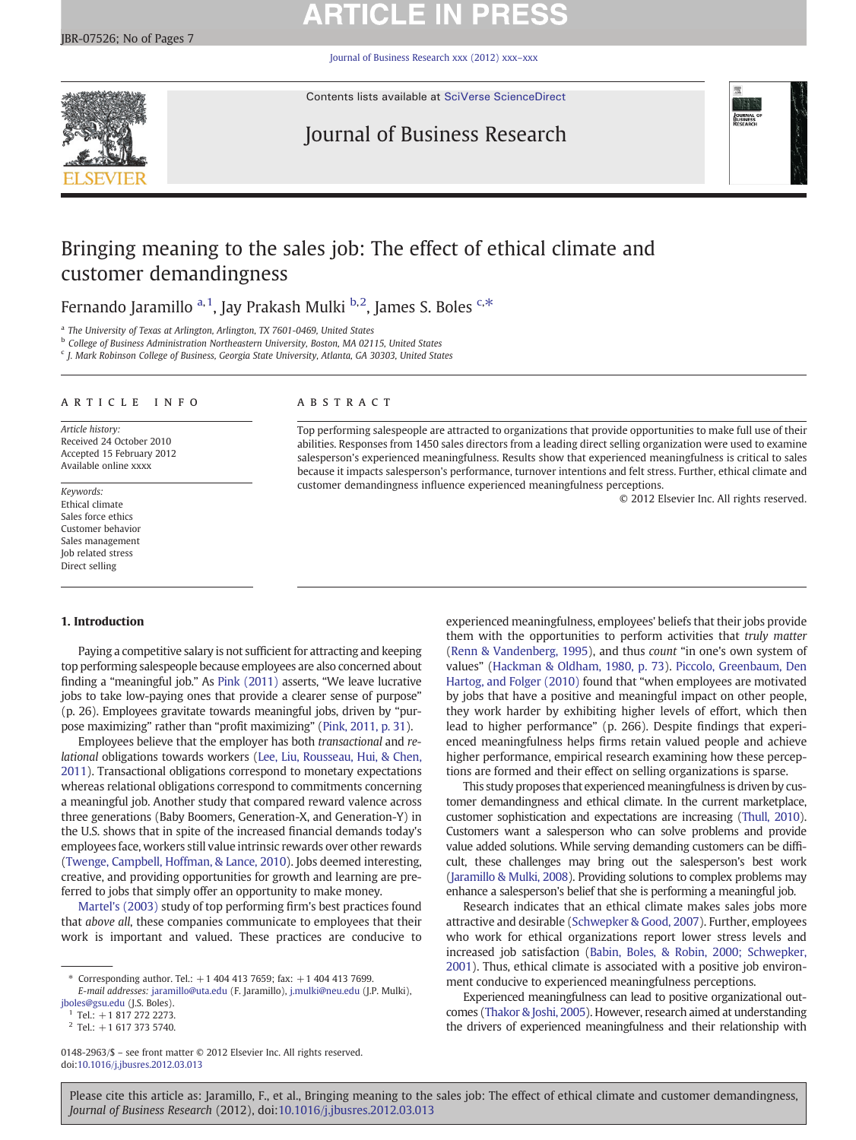# **ARTICLE IN PRESS**

Journal of Business Research xxx (2012) xxx–xxx



Contents lists available at [SciVerse ScienceDirect](http://www.sciencedirect.com/science/journal/01482963)

## Journal of Business Research



## Bringing meaning to the sales job: The effect of ethical climate and customer demandingness

Fernando Jaramillo <sup>a, 1</sup>, Jay Prakash Mulki <sup>b,2</sup>, James S. Boles <sup>c,\*</sup>

<sup>a</sup> The University of Texas at Arlington, Arlington, TX 7601-0469, United States

**b** College of Business Administration Northeastern University, Boston, MA 02115, United States

<sup>c</sup> J. Mark Robinson College of Business, Georgia State University, Atlanta, GA 30303, United States

### article info abstract

Article history: Received 24 October 2010 Accepted 15 February 2012 Available online xxxx

Keywords: Ethical climate Sales force ethics Customer behavior Sales management Job related stress Direct selling

Top performing salespeople are attracted to organizations that provide opportunities to make full use of their abilities. Responses from 1450 sales directors from a leading direct selling organization were used to examine salesperson's experienced meaningfulness. Results show that experienced meaningfulness is critical to sales because it impacts salesperson's performance, turnover intentions and felt stress. Further, ethical climate and customer demandingness influence experienced meaningfulness perceptions.

© 2012 Elsevier Inc. All rights reserved.

### 1. Introduction

Paying a competitive salary is not sufficient for attracting and keeping top performing salespeople because employees are also concerned about finding a "meaningful job." As [Pink \(2011\)](#page--1-0) asserts, "We leave lucrative jobs to take low-paying ones that provide a clearer sense of purpose" (p. 26). Employees gravitate towards meaningful jobs, driven by "purpose maximizing" rather than "profit maximizing" ([Pink, 2011, p. 31](#page--1-0)).

Employees believe that the employer has both transactional and relational obligations towards workers ([Lee, Liu, Rousseau, Hui, & Chen,](#page--1-0) [2011](#page--1-0)). Transactional obligations correspond to monetary expectations whereas relational obligations correspond to commitments concerning a meaningful job. Another study that compared reward valence across three generations (Baby Boomers, Generation-X, and Generation-Y) in the U.S. shows that in spite of the increased financial demands today's employees face, workers still value intrinsic rewards over other rewards [\(Twenge, Campbell, Hoffman, & Lance, 2010\)](#page--1-0). Jobs deemed interesting, creative, and providing opportunities for growth and learning are preferred to jobs that simply offer an opportunity to make money.

[Martel's \(2003\)](#page--1-0) study of top performing firm's best practices found that above all, these companies communicate to employees that their work is important and valued. These practices are conducive to

0148-2963/\$ – see front matter © 2012 Elsevier Inc. All rights reserved. doi:[10.1016/j.jbusres.2012.03.013](http://dx.doi.org/10.1016/j.jbusres.2012.03.013)

experienced meaningfulness, employees' beliefs that their jobs provide them with the opportunities to perform activities that truly matter [\(Renn & Vandenberg, 1995](#page--1-0)), and thus count "in one's own system of values" [\(Hackman & Oldham, 1980, p. 73](#page--1-0)). [Piccolo, Greenbaum, Den](#page--1-0) [Hartog, and Folger \(2010\)](#page--1-0) found that "when employees are motivated by jobs that have a positive and meaningful impact on other people, they work harder by exhibiting higher levels of effort, which then lead to higher performance" (p. 266). Despite findings that experienced meaningfulness helps firms retain valued people and achieve higher performance, empirical research examining how these perceptions are formed and their effect on selling organizations is sparse.

This study proposes that experienced meaningfulness is driven by customer demandingness and ethical climate. In the current marketplace, customer sophistication and expectations are increasing ([Thull, 2010](#page--1-0)). Customers want a salesperson who can solve problems and provide value added solutions. While serving demanding customers can be difficult, these challenges may bring out the salesperson's best work [\(Jaramillo & Mulki, 2008](#page--1-0)). Providing solutions to complex problems may enhance a salesperson's belief that she is performing a meaningful job.

Research indicates that an ethical climate makes sales jobs more attractive and desirable [\(Schwepker & Good, 2007\)](#page--1-0). Further, employees who work for ethical organizations report lower stress levels and increased job satisfaction ([Babin, Boles, & Robin, 2000; Schwepker,](#page--1-0) [2001](#page--1-0)). Thus, ethical climate is associated with a positive job environment conducive to experienced meaningfulness perceptions.

Experienced meaningfulness can lead to positive organizational outcomes ([Thakor & Joshi, 2005](#page--1-0)). However, research aimed at understanding the drivers of experienced meaningfulness and their relationship with

Please cite this article as: Jaramillo, F., et al., Bringing meaning to the sales job: The effect of ethical climate and customer demandingness, Journal of Business Research (2012), doi:[10.1016/j.jbusres.2012.03.013](http://dx.doi.org/10.1016/j.jbusres.2012.03.013)

Corresponding author. Tel.:  $+1$  404 413 7659; fax:  $+1$  404 413 7699. E-mail addresses: jaramillo@uta.edu (F. Jaramillo), j.mulki@neu.edu (J.P. Mulki),

jboles@gsu.edu (J.S. Boles).

 $1$  Tel.: +1 817 272 2273.

 $2$  Tel.: +1 617 373 5740.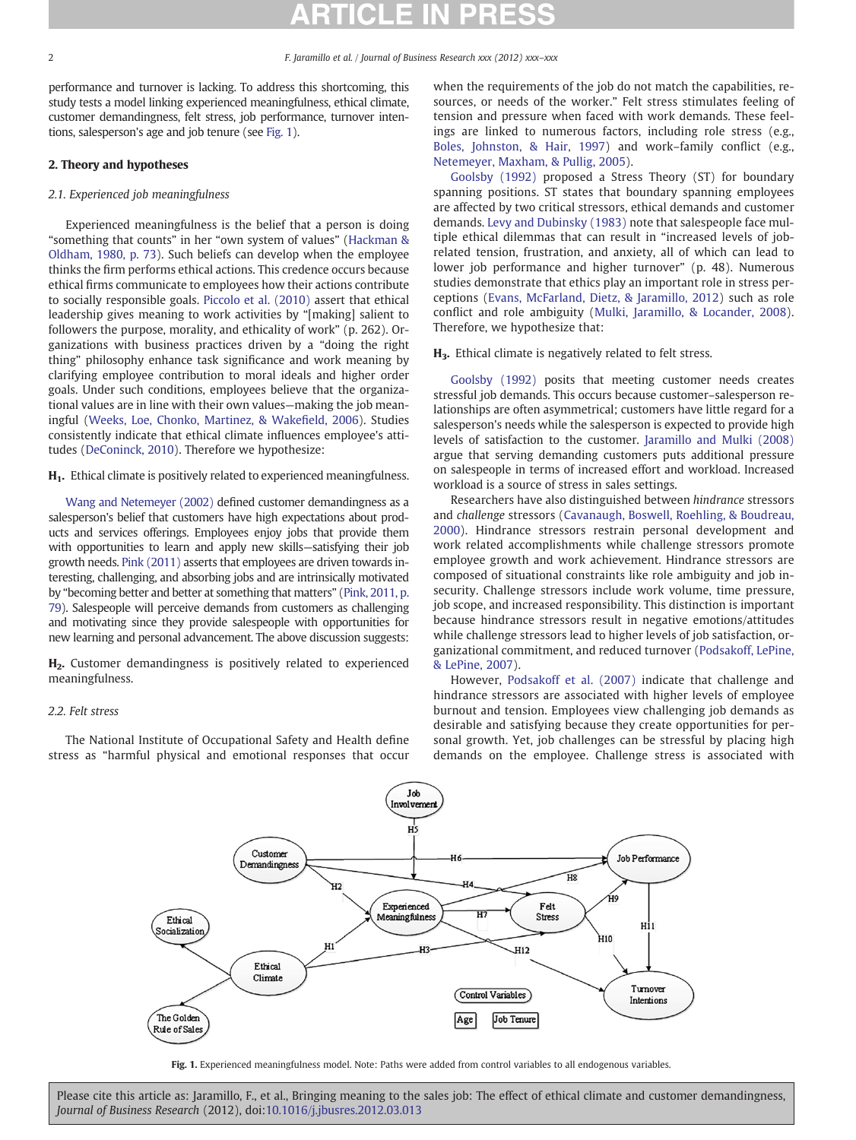performance and turnover is lacking. To address this shortcoming, this study tests a model linking experienced meaningfulness, ethical climate, customer demandingness, felt stress, job performance, turnover intentions, salesperson's age and job tenure (see Fig. 1).

### 2. Theory and hypotheses

### 2.1. Experienced job meaningfulness

Experienced meaningfulness is the belief that a person is doing "something that counts" in her "own system of values" ([Hackman &](#page--1-0) [Oldham, 1980, p. 73\)](#page--1-0). Such beliefs can develop when the employee thinks the firm performs ethical actions. This credence occurs because ethical firms communicate to employees how their actions contribute to socially responsible goals. [Piccolo et al. \(2010\)](#page--1-0) assert that ethical leadership gives meaning to work activities by "[making] salient to followers the purpose, morality, and ethicality of work" (p. 262). Organizations with business practices driven by a "doing the right thing" philosophy enhance task significance and work meaning by clarifying employee contribution to moral ideals and higher order goals. Under such conditions, employees believe that the organizational values are in line with their own values—making the job meaningful ([Weeks, Loe, Chonko, Martinez, & Wake](#page--1-0)field, 2006). Studies consistently indicate that ethical climate influences employee's attitudes ([DeConinck, 2010](#page--1-0)). Therefore we hypothesize:

### H<sub>1</sub>. Ethical climate is positively related to experienced meaningfulness.

[Wang and Netemeyer \(2002\)](#page--1-0) defined customer demandingness as a salesperson's belief that customers have high expectations about products and services offerings. Employees enjoy jobs that provide them with opportunities to learn and apply new skills—satisfying their job growth needs. [Pink \(2011\)](#page--1-0) asserts that employees are driven towards interesting, challenging, and absorbing jobs and are intrinsically motivated by "becoming better and better at something that matters" [\(Pink, 2011, p.](#page--1-0) [79](#page--1-0)). Salespeople will perceive demands from customers as challenging and motivating since they provide salespeople with opportunities for new learning and personal advancement. The above discussion suggests:

H2. Customer demandingness is positively related to experienced meaningfulness.

### 2.2. Felt stress

The National Institute of Occupational Safety and Health define stress as "harmful physical and emotional responses that occur when the requirements of the job do not match the capabilities, resources, or needs of the worker." Felt stress stimulates feeling of tension and pressure when faced with work demands. These feelings are linked to numerous factors, including role stress (e.g., [Boles, Johnston, & Hair, 1997](#page--1-0)) and work–family conflict (e.g., [Netemeyer, Maxham, & Pullig, 2005](#page--1-0)).

[Goolsby \(1992\)](#page--1-0) proposed a Stress Theory (ST) for boundary spanning positions. ST states that boundary spanning employees are affected by two critical stressors, ethical demands and customer demands. [Levy and Dubinsky \(1983\)](#page--1-0) note that salespeople face multiple ethical dilemmas that can result in "increased levels of jobrelated tension, frustration, and anxiety, all of which can lead to lower job performance and higher turnover" (p. 48). Numerous studies demonstrate that ethics play an important role in stress perceptions ([Evans, McFarland, Dietz, & Jaramillo, 2012](#page--1-0)) such as role conflict and role ambiguity ([Mulki, Jaramillo, & Locander, 2008](#page--1-0)). Therefore, we hypothesize that:

### H3. Ethical climate is negatively related to felt stress.

[Goolsby \(1992\)](#page--1-0) posits that meeting customer needs creates stressful job demands. This occurs because customer–salesperson relationships are often asymmetrical; customers have little regard for a salesperson's needs while the salesperson is expected to provide high levels of satisfaction to the customer. [Jaramillo and Mulki \(2008\)](#page--1-0) argue that serving demanding customers puts additional pressure on salespeople in terms of increased effort and workload. Increased workload is a source of stress in sales settings.

Researchers have also distinguished between hindrance stressors and challenge stressors ([Cavanaugh, Boswell, Roehling, & Boudreau,](#page--1-0) [2000](#page--1-0)). Hindrance stressors restrain personal development and work related accomplishments while challenge stressors promote employee growth and work achievement. Hindrance stressors are composed of situational constraints like role ambiguity and job insecurity. Challenge stressors include work volume, time pressure, job scope, and increased responsibility. This distinction is important because hindrance stressors result in negative emotions/attitudes while challenge stressors lead to higher levels of job satisfaction, organizational commitment, and reduced turnover ([Podsakoff, LePine,](#page--1-0) [& LePine, 2007](#page--1-0)).

However, [Podsakoff et al. \(2007\)](#page--1-0) indicate that challenge and hindrance stressors are associated with higher levels of employee burnout and tension. Employees view challenging job demands as desirable and satisfying because they create opportunities for personal growth. Yet, job challenges can be stressful by placing high demands on the employee. Challenge stress is associated with



Fig. 1. Experienced meaningfulness model. Note: Paths were added from control variables to all endogenous variables.

Please cite this article as: Jaramillo, F., et al., Bringing meaning to the sales job: The effect of ethical climate and customer demandingness, Journal of Business Research (2012), doi:[10.1016/j.jbusres.2012.03.013](http://dx.doi.org/10.1016/j.jbusres.2012.03.013)